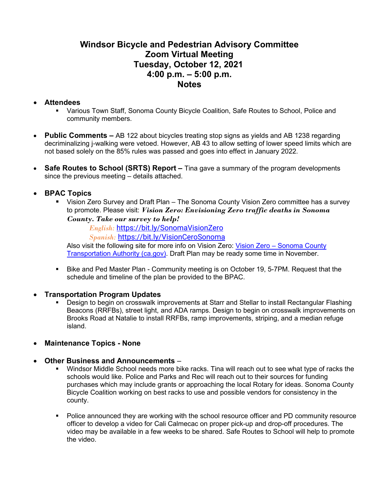# **Windsor Bicycle and Pedestrian Advisory Committee Zoom Virtual Meeting Tuesday, October 12, 2021 4:00 p.m. – 5:00 p.m. Notes**

#### • **Attendees**

- Various Town Staff, Sonoma County Bicycle Coalition, Safe Routes to School, Police and community members.
- **Public Comments –** AB 122 about bicycles treating stop signs as yields and AB 1238 regarding decriminalizing j-walking were vetoed. However, AB 43 to allow setting of lower speed limits which are not based solely on the 85% rules was passed and goes into effect in January 2022.
- **Safe Routes to School (SRTS) Report –** Tina gave a summary of the program developments since the previous meeting – details attached.

### • **BPAC Topics**

 Vision Zero Survey and Draft Plan – The Sonoma County Vision Zero committee has a survey to promote. Please visit: *Vision Zero: Envisioning Zero traffic deaths in Sonoma County. Take our survey to help!*

*English:* <https://bit.ly/SonomaVisionZero>

*Spanish:* <https://bit.ly/VisionCeroSonoma>

Also visit the following site for more info on Vision Zero: Vision Zero – [Sonoma County](https://scta.ca.gov/vision-zero/)  [Transportation Authority \(ca.gov\).](https://scta.ca.gov/vision-zero/) Draft Plan may be ready some time in November.

 Bike and Ped Master Plan - Community meeting is on October 19, 5-7PM. Request that the schedule and timeline of the plan be provided to the BPAC.

### • **Transportation Program Updates**

 Design to begin on crosswalk improvements at Starr and Stellar to install Rectangular Flashing Beacons (RRFBs), street light, and ADA ramps. Design to begin on crosswalk improvements on Brooks Road at Natalie to install RRFBs, ramp improvements, striping, and a median refuge island.

### • **Maintenance Topics - None**

### • **Other Business and Announcements** –

- Windsor Middle School needs more bike racks. Tina will reach out to see what type of racks the schools would like. Police and Parks and Rec will reach out to their sources for funding purchases which may include grants or approaching the local Rotary for ideas. Sonoma County Bicycle Coalition working on best racks to use and possible vendors for consistency in the county.
- Police announced they are working with the school resource officer and PD community resource officer to develop a video for Cali Calmecac on proper pick-up and drop-off procedures. The video may be available in a few weeks to be shared. Safe Routes to School will help to promote the video.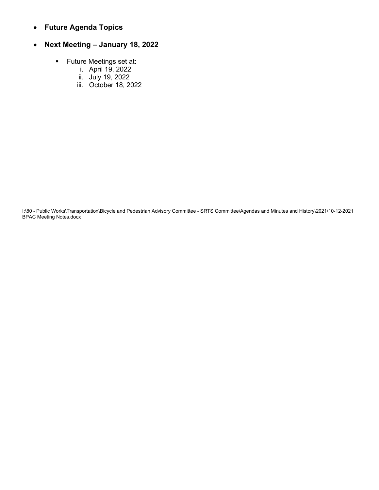• **Future Agenda Topics**

# • **Next Meeting – January 18, 2022**

- **Future Meetings set at:** 
	- i. April 19, 2022
	- ii. July 19, 2022
	- iii. October 18, 2022

I:\80 - Public Works\Transportation\Bicycle and Pedestrian Advisory Committee - SRTS Committee\Agendas and Minutes and History\2021\10-12-2021 BPAC Meeting Notes.docx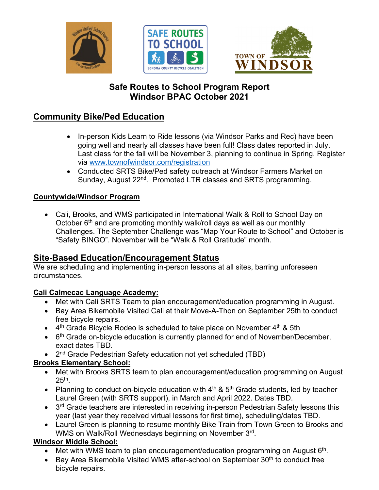





# **Safe Routes to School Program Report Windsor BPAC October 2021**

# **Community Bike/Ped Education**

- In-person Kids Learn to Ride lessons (via Windsor Parks and Rec) have been going well and nearly all classes have been full! Class dates reported in July. Last class for the fall will be November 3, planning to continue in Spring. Register via [www.townofwindsor.com/registration](http://www.townofwindsor.com/registration)
- Conducted SRTS Bike/Ped safety outreach at Windsor Farmers Market on Sunday, August 22<sup>nd</sup>. Promoted LTR classes and SRTS programming.

## **Countywide/Windsor Program**

• Cali, Brooks, and WMS participated in International Walk & Roll to School Day on October  $6<sup>th</sup>$  and are promoting monthly walk/roll days as well as our monthly Challenges. The September Challenge was "Map Your Route to School" and October is "Safety BINGO". November will be "Walk & Roll Gratitude" month.

# **Site-Based Education/Encouragement Status**

We are scheduling and implementing in-person lessons at all sites, barring unforeseen circumstances.

## **Cali Calmecac Language Academy:**

- Met with Cali SRTS Team to plan encouragement/education programming in August.
- Bay Area Bikemobile Visited Cali at their Move-A-Thon on September 25th to conduct free bicycle repairs.
- $\bullet$  4<sup>th</sup> Grade Bicycle Rodeo is scheduled to take place on November 4<sup>th</sup> & 5th
- 6<sup>th</sup> Grade on-bicycle education is currently planned for end of November/December, exact dates TBD.
- 2<sup>nd</sup> Grade Pedestrian Safety education not yet scheduled (TBD)

## **Brooks Elementary School:**

- Met with Brooks SRTS team to plan encouragement/education programming on August 25th.
- Planning to conduct on-bicycle education with  $4<sup>th</sup>$  &  $5<sup>th</sup>$  Grade students, led by teacher Laurel Green (with SRTS support), in March and April 2022. Dates TBD.
- $\bullet$  3<sup>rd</sup> Grade teachers are interested in receiving in-person Pedestrian Safety lessons this year (last year they received virtual lessons for first time), scheduling/dates TBD.
- Laurel Green is planning to resume monthly Bike Train from Town Green to Brooks and WMS on Walk/Roll Wednesdays beginning on November 3rd.

## **Windsor Middle School:**

- Met with WMS team to plan encouragement/education programming on August  $6<sup>th</sup>$ .
- Bay Area Bikemobile Visited WMS after-school on September  $30<sup>th</sup>$  to conduct free bicycle repairs.